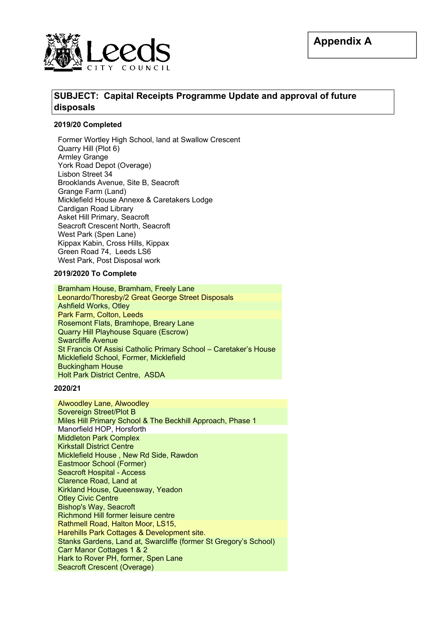

# **SUBJECT: Capital Receipts Programme Update and approval of future disposals**

### **2019/20 Completed**

Former Wortley High School, land at Swallow Crescent Quarry Hill (Plot 6) Armley Grange York Road Depot (Overage) Lisbon Street 34 Brooklands Avenue, Site B, Seacroft Grange Farm (Land) Micklefield House Annexe & Caretakers Lodge Cardigan Road Library Asket Hill Primary, Seacroft Seacroft Crescent North, Seacroft West Park (Spen Lane) Kippax Kabin, Cross Hills, Kippax Green Road 74, Leeds LS6 West Park, Post Disposal work

### **2019/2020 To Complete**

Bramham House, Bramham, Freely Lane Leonardo/Thoresby/2 Great George Street Disposals Ashfield Works, Otley Park Farm, Colton, Leeds Rosemont Flats, Bramhope, Breary Lane Quarry Hill Playhouse Square (Escrow) Swarcliffe Avenue St Francis Of Assisi Catholic Primary School – Caretaker's House Micklefield School, Former, Micklefield Buckingham House Holt Park District Centre, ASDA

### **2020/21**

Alwoodley Lane, Alwoodley Sovereign Street/Plot B Miles Hill Primary School & The Beckhill Approach, Phase 1 Manorfield HOP, Horsforth Middleton Park Complex Kirkstall District Centre Micklefield House , New Rd Side, Rawdon Eastmoor School (Former) Seacroft Hospital - Access Clarence Road, Land at Kirkland House, Queensway, Yeadon Otley Civic Centre Bishop's Way, Seacroft Richmond Hill former leisure centre Rathmell Road, Halton Moor, LS15, Harehills Park Cottages & Development site. Stanks Gardens, Land at, Swarcliffe (former St Gregory's School) Carr Manor Cottages 1 & 2 Hark to Rover PH, former, Spen Lane Seacroft Crescent (Overage)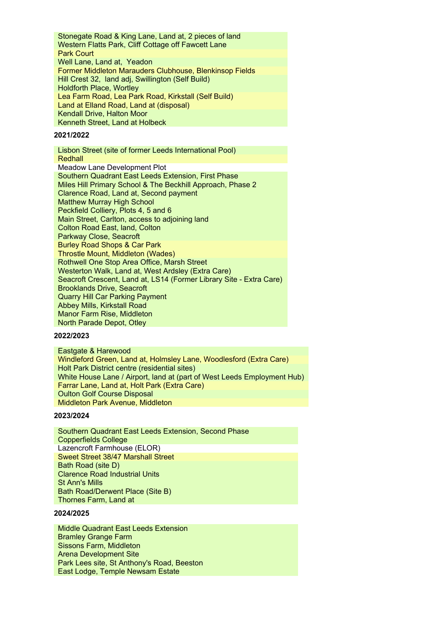Stonegate Road & King Lane, Land at, 2 pieces of land Western Flatts Park, Cliff Cottage off Fawcett Lane Park Court Well Lane, Land at, Yeadon Former Middleton Marauders Clubhouse, Blenkinsop Fields Hill Crest 32, land adj, Swillington (Self Build) Holdforth Place, Wortley Lea Farm Road, Lea Park Road, Kirkstall (Self Build) Land at Elland Road, Land at (disposal) Kendall Drive, Halton Moor Kenneth Street, Land at Holbeck

### **2021/2022**

Lisbon Street (site of former Leeds International Pool) **Redhall** Meadow Lane Development Plot Southern Quadrant East Leeds Extension, First Phase Miles Hill Primary School & The Beckhill Approach, Phase 2 Clarence Road, Land at, Second payment Matthew Murray High School Peckfield Colliery, Plots 4, 5 and 6 Main Street, Carlton, access to adjoining land Colton Road East, land, Colton Parkway Close, Seacroft Burley Road Shops & Car Park Throstle Mount, Middleton (Wades) Rothwell One Stop Area Office, Marsh Street Westerton Walk, Land at, West Ardsley (Extra Care) Seacroft Crescent, Land at, LS14 (Former Library Site - Extra Care) Brooklands Drive, Seacroft Quarry Hill Car Parking Payment Abbey Mills, Kirkstall Road Manor Farm Rise, Middleton North Parade Depot, Otley

### **2022/2023**

Eastgate & Harewood Windleford Green, Land at, Holmsley Lane, Woodlesford (Extra Care) Holt Park District centre (residential sites) White House Lane / Airport, land at (part of West Leeds Employment Hub) Farrar Lane, Land at, Holt Park (Extra Care) Oulton Golf Course Disposal Middleton Park Avenue, Middleton

#### **2023/2024**

Southern Quadrant East Leeds Extension, Second Phase Copperfields College Lazencroft Farmhouse (ELOR) Sweet Street 38/47 Marshall Street Bath Road (site D) Clarence Road Industrial Units St Ann's Mills Bath Road/Derwent Place (Site B) Thornes Farm, Land at

### **2024/2025**

Middle Quadrant East Leeds Extension Bramley Grange Farm Sissons Farm, Middleton Arena Development Site Park Lees site, St Anthony's Road, Beeston East Lodge, Temple Newsam Estate